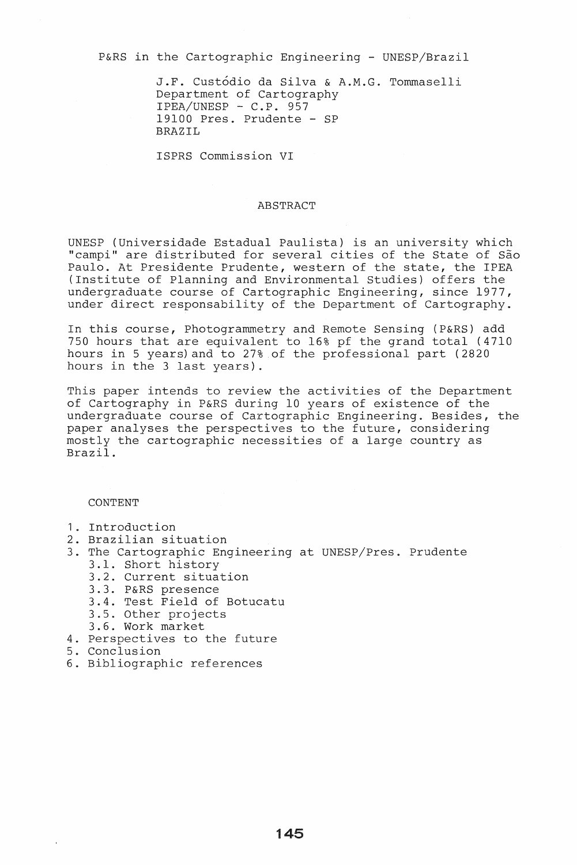P&RS in the Cartographic Engineering - UNESP/Brazil

J.F. Custodio da Silva & A.M.G. Tommaselli Department of Cartography  $IPEA/UNESP - C.P. 957$ 19100 Pres. Prudente - SP BRAZIL

ISPRS Commission VI

## ABSTRACT

UNESP (Universidade Estadual Paulista) is an university which "campi" are distributed for several cities of the State of São Paulo. At Presidente Prudente, western of the state, the IPEA (Institute of Planning and Environmental Studies) offers the undergraduate course of Cartographic Engineering, since 1977, under direct responsability of the Department of Cartography.

In this course, Photogrammetry and Remote Sensing (P&RS) add 750 hours that are equivalent to 16% pf the grand total (4710 hours in 5 years) and to 27% of the professional part (2820 hours in the 3 last years).

This paper intends to review the activities of the Department of Cartography in P&RS during 10 years of existence of the undergraduate course of Cartographic Engineering. Besides, the paper analyses the perspectives to the future, considering mostly the cartographic necessities of a large country as Brazil.

CONTENT

- 1. Introduction
- 2. Brazilian situation
- 3. The Cartographic Engineering at UNESP/Pres. Prudente 3.1. Short history
	- 3.2. Current situation
	- 3.3. P&RS presence
	- 3.4. Test Field of Botucatu
	- 3.5. Other projects
	- 3.6. Work market
- 4. Perspectives to the future
- 5. Conclusion
- 6. Bibliographic references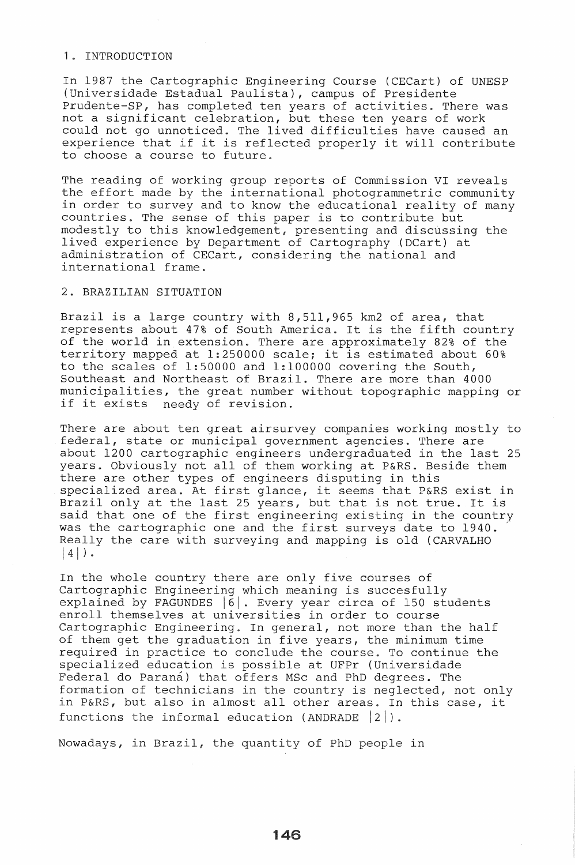# 1. INTRODUCTION

In 1987 the Cartographic Engineering Course (CECart) of UNESP {Universidade Estadual Paulista}, campus of Presidente Prudente-SP, has completed ten years of activities. There was not a significant celebration, but these ten years of work could not go unnoticed. The lived difficulties have caused an experience that if it is reflected properly it will contribute to choose a course to future.

The reading of working group reports of Commission VI reveals the effort made by the international photogrammetric community in order to survey and to know the educational reality of many countries. The sense of this paper is to contribute but modestly to this knowledgement, presenting and discussing the lived experience by Department of Cartography (DCart) at administration of CECart, considering the national and international frame.

#### 2. BRAZILIAN SITUATION

Brazil is a large country with 8,511,965 km2 of area, that represents about 47% of South America. It is the fifth country of the world in extension. There are approximately 82% of the territory mapped at 1:250000 scale; it is estimated about 60% to the scales of 1:50000 and 1:100000 covering the South, Southeast and Northeast of Brazil. There are more than 4000 municipalities, the great number without topographic mapping or if it exists needy of revision.

There are about ten great airsurvey companies working mostly to federal, state or municipal government agencies. There are about 1200 cartographic engineers undergraduated in the last 25 years. Obviously not all of them working at P&RS. Beside them there are other types of engineers disputing in this specialized area. At first glance, it seems that P&RS exist in Brazil only at the last 25 years, but that is not true. It is said that one of the first engineering existing in the country was the cartographic one and the first surveys date to 1940. Really the care with surveying and mapping is old (CARVALHO  $|4|$ .

In the whole country there are only five courses of Cartographic Engineering which meaning is succesfully explained by FAGUNDES  $|6|$ . Every year circa of 150 students enroll themselves at universities in order to course Cartographic Engineering. In general, not more than the half of them get the graduation in five years, the minimum time required in practice to conclude the course. To continue the specialized education is possible at UFPr (Universidade Federal do Parana) that offers MSc and PhD degrees. The formation of technicians in the country is neglected, not only in P&RS, but also in almost all other areas. In this case, it functions the informal education (ANDRADE  $|2|$ ).

Nowadays, in Brazil, the quantity of PhD people in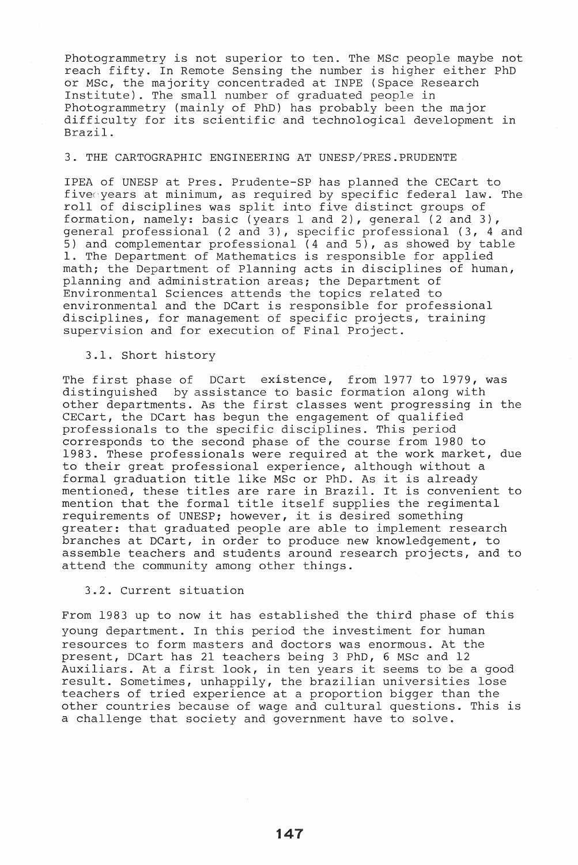Photogrammetry is not superior to ten. The MSc people maybe not reach fifty. In Remote Sensing the number is higher either PhD or MSc, the majority concentraded at INPE (Space Research Institute). The small number of graduated people in Photogrammetry (mainly of PhD) has probably been the major difficulty for its scientific and technological development in Brazil.

# 3. THE CARTOGRAPHIC ENGINEERING AT UNESP/PRES.PRUDENTE

IPEA of UNESP at Pres. Prudente-SP has planned the CECart to five years at minimum, as required by specific federal law. The roll of disciplines was split into five distinct groups of formation, namely: basic (years 1 and 2), general (2 and 3), general professional (2 and 3), specific professional (3, 4 and 5) and complementar professional (4 and 5), as showed by table 1. The Department of Mathematics is responsible for applied math; the Department of Planning acts in disciplines of human, planning and administration areas; the Department of Environmental Sciences attends the topics related to environmental and the DCart is responsible for professional disciplines, for management of specific projects, training supervision and for execution of Final Project.

## 3.1. Short history

The first phase of DCart existence, from 1977 to 1979, was distinguished by assistance to basic formation along with other departments. As the first classes went progressing in the CECart, the DCart has begun the engagement of qualified professionals to the specific disciplines. This period corresponds to the second phase of the course from 1980 to 1983. These professionals were required at the work market, due to their great professional experience, although without a formal graduation title like MSc or PhD. As it is already mentioned, these titles are rare in Brazil. It is convenient to mention that the formal title itself supplies the regimental requirements of UNESP; however, it is desired something greater: that graduated people are able to implement research branches at DCart, in order to produce new knowledgement, to assemble teachers and students around research projects, and to attend the community among other things.

#### 3.2. Current situation

From 1983 up to now it has established the third phase of this young department. In this period the investiment for human resources to form masters and doctors was enormous. At the present, DCart has 21 teachers being 3 PhD, 6 MSc and 12 Auxiliars. At a first look, in ten years it seems to be a good result. Sometimes, unhappily, the brazilian universities lose teachers of tried experience at a proportion bigger than the other countries because of wage and cultural questions. This is a challenge that society and government have to solve.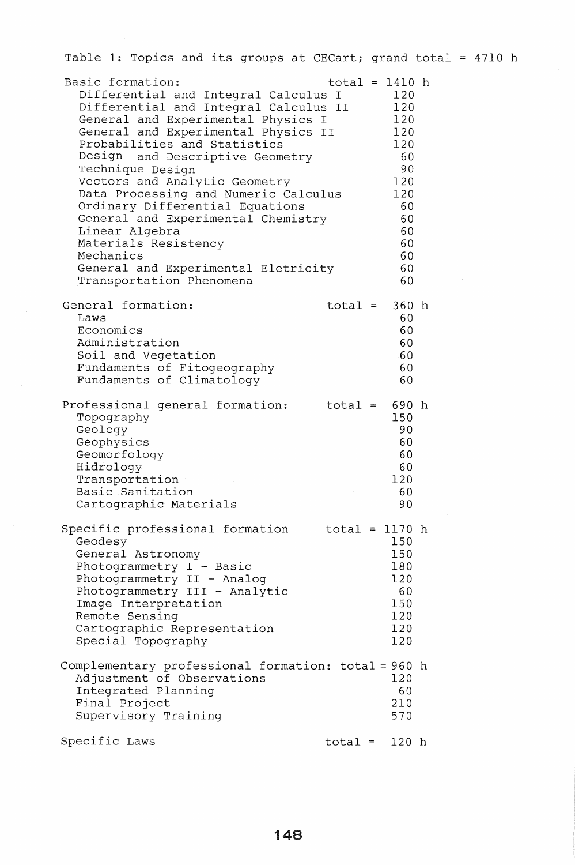| Table 1: Topics and its groups at CECart; grand total = 4710 h                                                                                                                                                                                                                                                                                                                                                                                                                                                                                       |                  |                                                                                                     |  |  |
|------------------------------------------------------------------------------------------------------------------------------------------------------------------------------------------------------------------------------------------------------------------------------------------------------------------------------------------------------------------------------------------------------------------------------------------------------------------------------------------------------------------------------------------------------|------------------|-----------------------------------------------------------------------------------------------------|--|--|
| Basic formation:<br>Differential and Integral Calculus I<br>Differential and Integral Calculus II<br>General and Experimental Physics I<br>General and Experimental Physics II<br>Probabilities and Statistics<br>and Descriptive Geometry<br>Design<br>Technique Design<br>Vectors and Analytic Geometry<br>Data Processing and Numeric Calculus<br>Ordinary Differential Equations<br>General and Experimental Chemistry<br>Linear Algebra<br>Materials Resistency<br>Mechanics<br>General and Experimental Eletricity<br>Transportation Phenomena | $total = 1410 h$ | 120<br>120<br>120<br>120<br>120<br>60<br>90<br>120<br>120<br>60<br>60<br>60<br>60<br>60<br>60<br>60 |  |  |
| General formation:<br>Laws<br>Economics<br>Administration<br>Soil and Vegetation<br>Fundaments of Fitogeography<br>Fundaments of Climatology                                                                                                                                                                                                                                                                                                                                                                                                         | $total =$        | 360 <sub>h</sub><br>60<br>60<br>60<br>60<br>60<br>60                                                |  |  |
| Professional general formation:<br>Topography<br>Geology<br>Geophysics<br>Geomorfology<br>Hidrology<br>Transportation<br>Basic Sanitation<br>Cartographic Materials                                                                                                                                                                                                                                                                                                                                                                                  | $total =$        | 690 h<br>150<br>90<br>60<br>60<br>60<br>120<br>60<br>90                                             |  |  |
| Specific professional formation<br>Geodesy<br>General Astronomy<br>Photogrammetry I - Basic<br>Photogrammetry II - Analog<br>Photogrammetry III - Analytic<br>Image Interpretation<br>Remote Sensing<br>Cartographic Representation<br>Special Topography                                                                                                                                                                                                                                                                                            | total = 1170 h   | 150<br>150<br>180<br>120<br>60<br>150<br>120<br>120<br>120                                          |  |  |
| Complementary professional formation: total = 960 h<br>Adjustment of Observations<br>Integrated Planning<br>Final Project<br>Supervisory Training                                                                                                                                                                                                                                                                                                                                                                                                    |                  | 120<br>60<br>210<br>570                                                                             |  |  |
| Specific Laws                                                                                                                                                                                                                                                                                                                                                                                                                                                                                                                                        | $total = 120 h$  |                                                                                                     |  |  |

 $\sim$   $\epsilon$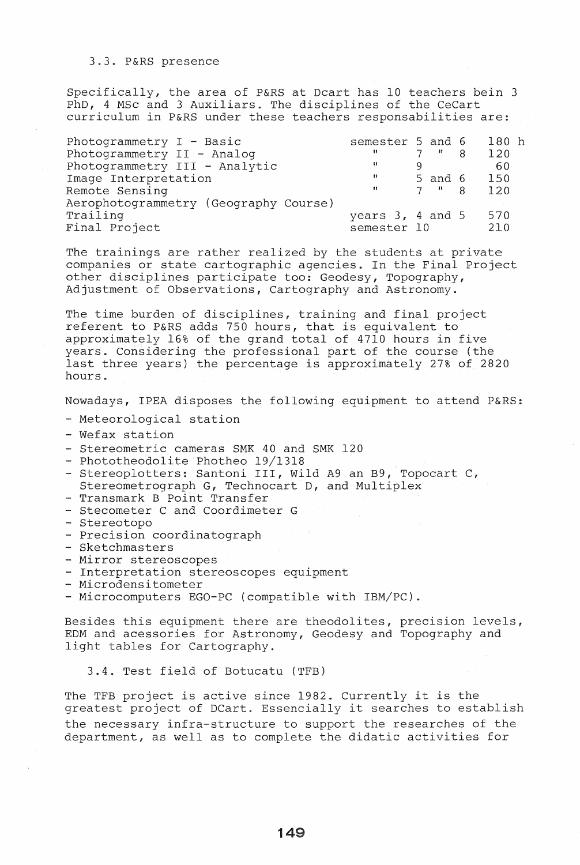#### 3.3. P&RS presence

Specifically, the area of P&RS at Dcart has 10 teachers bein 3 PhD, 4 MSc and 3 Auxiliars. The disciplines of the CeCart curriculum in P&RS under these teachers responsabilities are:

| Photogrammetry I - Basic              | semester 5 and 6     |                    | 180 <sub>h</sub> |
|---------------------------------------|----------------------|--------------------|------------------|
| Photogrammetry II - Analog            | n                    | $7 \t 8$           | 120              |
| Photogrammetry III - Analytic         | -99                  |                    | -60              |
| Image Interpretation                  | $\mathbf{H}$         | $5$ and $6$        | 150              |
| Remote Sensing                        | π                    | $7$ $\overline{8}$ | 120              |
| Aerophotogrammetry (Geography Course) |                      |                    |                  |
| Trailing                              | years $3, 4$ and $5$ |                    | 570              |
| Final Project                         | semester 10          |                    | 210              |

The trainings are rather realized by the students at private companies or state cartographic agencies. In the Final Project other disciplines participate too: Geodesy, Topography, Adjustment of Observations, Cartography and Astronomy.

The time burden of disciplines, training and final project referent to P&RS adds 750 hours, that is equivalent to approximately 16% of the grand total of 4710 hours in five years. Considering the professional part of the course (the last three years) the percentage is approximately 27% of 2820 hours.

Nowadays, IPEA disposes the following equipment to attend P&RS:

- Meteorological station
- Wefax station
- Stereometric cameras SMK 40 and SMK 120
- Phototheodolite Photheo 19/1318
- Stereoplotters: Santoni III, Wild A9 an B9, Topocart C,
- Stereometrograph G, Technocart D, and Multiplex
- Transmark B Point Transfer
- Stecometer C and Coordimeter G
- Stereotopo
- Precision coordinatograph
- Sketchmasters
- Mirror stereoscopes
- Interpretation stereoscopes equipment
- Microdensitometer
- Microcomputers EGO-PC (compatible with IBM/PC).

Besides this equipment there are theodolites, precision levels, EDM and acessories for Astronomy, Geodesy and Topography and light tables for Cartography.

3.4. Test field of Botucatu (TFB)

The TFB project is active since 1982. Currently it is the greatest project of DCart. Essencially it searches to establish the necessary infra-structure to support the researches of the department, as well as to complete the didatic activities for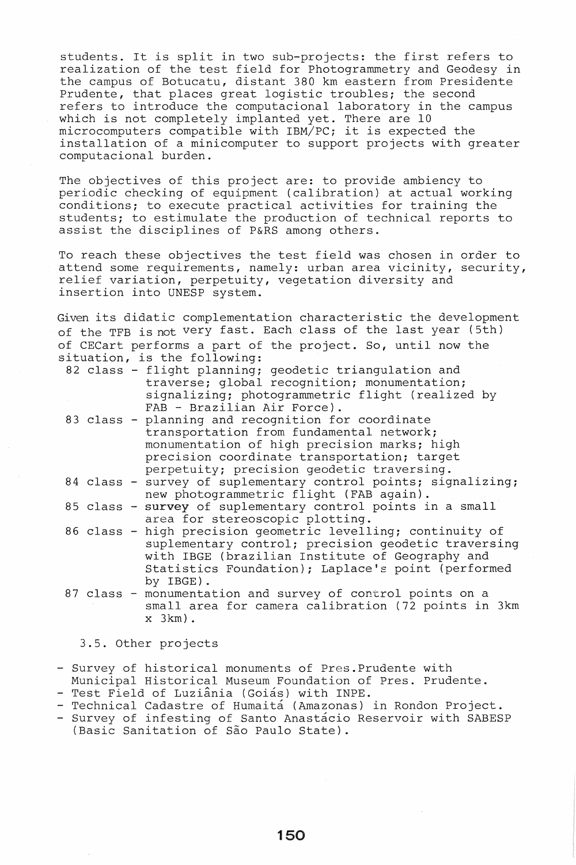students. It is split in two sub-projects: the first refers to realization of the test field for Photogrammetry and Geodesy in the campus of Botucatu, distant 380 km eastern from Presidente Prudente, that places great logistic troubles; the second refers to introduce the computacional laboratory in the campus which is not completely implanted yet. There are 10 microcomputers compatible with IBM/PC; it is expected the installation of a minicomputer to support projects with greater computacional burden.

The objectives of this project are: to provide ambiency to periodic checking of equipment (calibration) at actual working conditions; to execute practical activities for training the students; to estimulate the production of technical reports to assist the disciplines of P&RS among others.

To reach these objectives the test field was chosen in order to attend some requirements, namely: urban area vicinity, security, relief variation, perpetuity, vegetation diversity and insertion into UNESP system.

Given its didatic complementation characteristic the development of the TFB is not very fast. Each class of the last year (5th) of CECart performs a part of the project. So, until now the situation, is the following:

| 82 class - flight planning; geodetic triangulation and |
|--------------------------------------------------------|
| traverse; global recognition; monumentation;           |
| signalizing; photogrammetric flight (realized by       |
| FAB - Brazilian Air Force).                            |
|                                                        |

- 83 class planning and recognition for coordinate transportation from fundamental network; monumentation of high precision marks; high precision coordinate transportation; target perpetuity; precision geodetic traversing.
- 84 class survey of suplementary control points; signalizing; new photogrammetric flight (FAB again).
- 85 class survey of suplementary control points in a small area for stereoscopic plotting.
- 86 class high precision geometric levelling; continuity of suplementary control; precision geodetic traversing with IBGE (brazilian Institute of Geography and Statistics Foundation); Laplace's point (performed by IBGE).
- 87 class monumentation and survey of control points on a small area for camera calibration (72 points in 3km x 3km).

3.5. Other projects

- Survey of historical monuments of Pres.Prudente with

- Municipal Historical Museum Foundation of Pres. Prudente. - Test Field of Luziânia (Goiás) with INPE.
- Technical Cadastre of Humaitá (Amazonas) in Rondon Project.
- Survey of infesting of Santo Anastacio Reservoir with SABESP (Basic Sanitation of São Paulo State).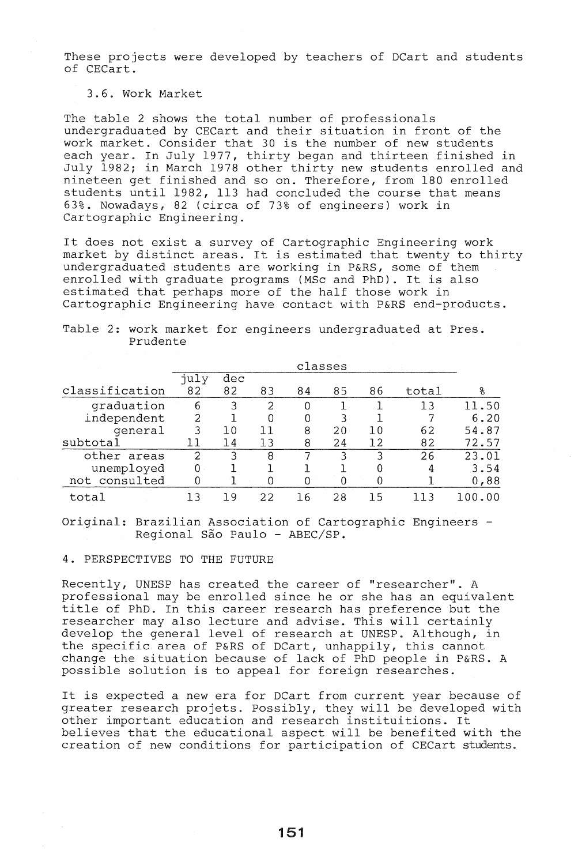These projects were developed by teachers of DCart and students of CECart.

## 3.6. Work Market

The table 2 shows the total number of professionals undergraduated by CECart and their situation in front of the work market. Consider that 30 is the number of new students each year. In July 1977, thirty began and thirteen finished in July 1982; in March 1978 other thirty new students enrolled and nineteen get finished and so on. Therefore, from 180 enrolled students until 1982, 113 had concluded the course that means 63%. Nowadays, 82 (circa of 73% of engineers) work in Cartographic Engineering.

It does not exist a survey of Cartographic Engineering work market by distinct areas. It is estimated that twenty to thirty undergraduated students are working in P&RS, some of them enrolled with graduate programs (MSc and PhD). It is also estimated that perhaps more of the half those work in Cartographic Engineering have contact with P&RS end-products.

|                | classes       |     |    |    |    |     |       |        |
|----------------|---------------|-----|----|----|----|-----|-------|--------|
|                | july          | dec |    |    |    |     |       |        |
| classification | 82            | 82  | 83 | 84 | 85 | 86  | total | ႙      |
| graduation     | 6             | 3   | 2  | 0  |    |     | 13    | 11.50  |
| independent    | $\mathcal{L}$ |     | 0  | 0  | 3  |     |       | 6.20   |
| qeneral        | 3             | 10  | 11 | 8  | 20 | 1 O | 62    | 54.87  |
| subtotal       |               | 14  | 13 | 8  | 24 | 12  | 82    | 72.57  |
| other areas    | っ             | ٦   | 8  | 7  | ર  | 3   | 26    | 23.01  |
| unemployed     | $0 -$         |     |    |    |    |     | 4     | 3.54   |
| not consulted  |               |     |    | O  |    |     |       | 0,88   |
| total          |               | 1 9 | 22 | 16 | 28 | 15  |       | 100.00 |

Table 2: work market for engineers undergraduated at Pres. Prudente

Original: Brazilian Association of Cartographic Engineers - Regional São Paulo - ABEC/SP.

# 4 . PERSPECTIVES TO THE FUTURE

Recently, UNESP has created the career of "researcher". A professional may be enrolled since he or she has an equivalent title of PhD. In this career research has preference but the researcher may also lecture and advise. This will certainly researencr may also receare and davise. This will cerearing the specific area of P&RS of DCart, unhappily, this cannot change the situation because of lack of PhD people in P&RS. A possible solution is to appeal for foreign researches.

It is expected a new era for DCart from current year because of greater research projets. Possibly, they will be developed with greater research projets. Possibly, they will be deverope<br>other important education and research instituitions. It believes that the educational aspect will be benefited with the creation of new conditions for participation of CECart students.